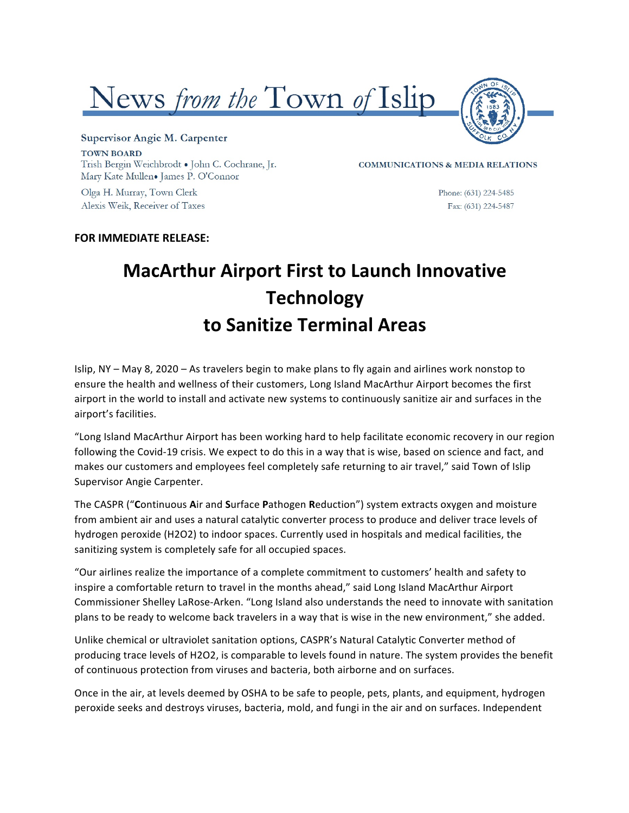



## Supervisor Angie M. Carpenter **TOWN BOARD** Trish Bergin Weichbrodt . John C. Cochrane, Jr. Mary Kate Mullen. James P. O'Connor

Olga H. Murray, Town Clerk Alexis Weik, Receiver of Taxes **COMMUNICATIONS & MEDIA RELATIONS** 

Phone: (631) 224-5485 Fax: (631) 224-5487

## **FOR IMMEDIATE RELEASE:**

## **MacArthur Airport First to Launch Innovative Technology to Sanitize Terminal Areas**

Islip, NY – May 8, 2020 – As travelers begin to make plans to fly again and airlines work nonstop to ensure the health and wellness of their customers, Long Island MacArthur Airport becomes the first airport in the world to install and activate new systems to continuously sanitize air and surfaces in the airport's facilities.

"Long Island MacArthur Airport has been working hard to help facilitate economic recovery in our region following the Covid-19 crisis. We expect to do this in a way that is wise, based on science and fact, and makes our customers and employees feel completely safe returning to air travel," said Town of Islip Supervisor Angie Carpenter.

The CASPR ("Continuous Air and Surface Pathogen Reduction") system extracts oxygen and moisture from ambient air and uses a natural catalytic converter process to produce and deliver trace levels of hydrogen peroxide (H2O2) to indoor spaces. Currently used in hospitals and medical facilities, the sanitizing system is completely safe for all occupied spaces.

"Our airlines realize the importance of a complete commitment to customers' health and safety to inspire a comfortable return to travel in the months ahead," said Long Island MacArthur Airport Commissioner Shelley LaRose-Arken. "Long Island also understands the need to innovate with sanitation plans to be ready to welcome back travelers in a way that is wise in the new environment," she added.

Unlike chemical or ultraviolet sanitation options, CASPR's Natural Catalytic Converter method of producing trace levels of H2O2, is comparable to levels found in nature. The system provides the benefit of continuous protection from viruses and bacteria, both airborne and on surfaces.

Once in the air, at levels deemed by OSHA to be safe to people, pets, plants, and equipment, hydrogen peroxide seeks and destroys viruses, bacteria, mold, and fungi in the air and on surfaces. Independent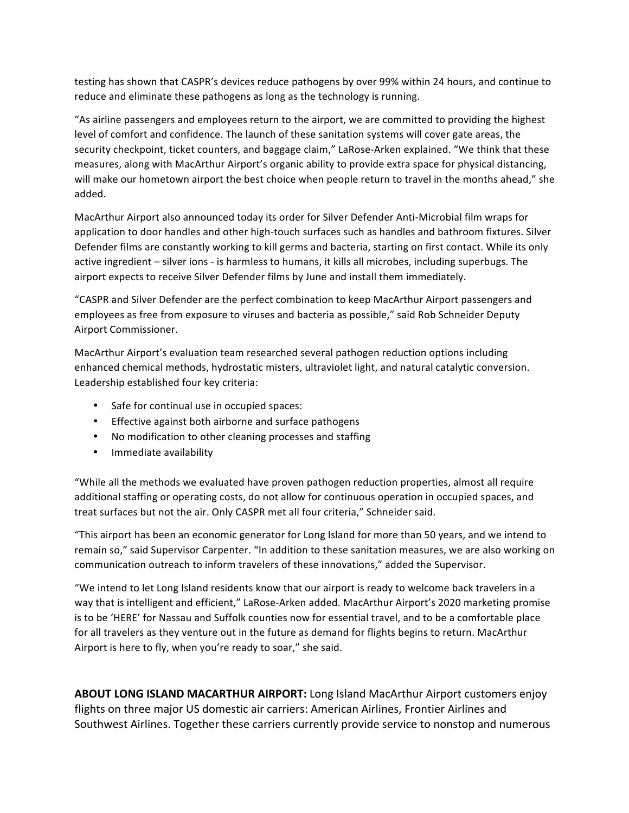testing has shown that CASPR's devices reduce pathogens by over 99% within 24 hours, and continue to reduce and eliminate these pathogens as long as the technology is running.

"As airline passengers and employees return to the airport, we are committed to providing the highest level of comfort and confidence. The launch of these sanitation systems will cover gate areas, the security checkpoint, ticket counters, and baggage claim," LaRose-Arken explained. "We think that these measures, along with MacArthur Airport's organic ability to provide extra space for physical distancing, will make our hometown airport the best choice when people return to travel in the months ahead," she added.

MacArthur Airport also announced today its order for Silver Defender Anti-Microbial film wraps for application to door handles and other high-touch surfaces such as handles and bathroom fixtures. Silver Defender films are constantly working to kill germs and bacteria, starting on first contact. While its only active ingredient – silver ions - is harmless to humans, it kills all microbes, including superbugs. The airport expects to receive Silver Defender films by June and install them immediately.

"CASPR and Silver Defender are the perfect combination to keep MacArthur Airport passengers and employees as free from exposure to viruses and bacteria as possible," said Rob Schneider Deputy Airport Commissioner.

MacArthur Airport's evaluation team researched several pathogen reduction options including enhanced chemical methods, hydrostatic misters, ultraviolet light, and natural catalytic conversion. Leadership established four key criteria:

- Safe for continual use in occupied spaces:
- Effective against both airborne and surface pathogens
- No modification to other cleaning processes and staffing
- Immediate availability

"While all the methods we evaluated have proven pathogen reduction properties, almost all require additional staffing or operating costs, do not allow for continuous operation in occupied spaces, and treat surfaces but not the air. Only CASPR met all four criteria," Schneider said.

"This airport has been an economic generator for Long Island for more than 50 years, and we intend to remain so," said Supervisor Carpenter. "In addition to these sanitation measures, we are also working on communication outreach to inform travelers of these innovations," added the Supervisor.

"We intend to let Long Island residents know that our airport is ready to welcome back travelers in a way that is intelligent and efficient," LaRose-Arken added. MacArthur Airport's 2020 marketing promise is to be 'HERE' for Nassau and Suffolk counties now for essential travel, and to be a comfortable place for all travelers as they venture out in the future as demand for flights begins to return. MacArthur Airport is here to fly, when you're ready to soar," she said.

ABOUT LONG ISLAND MACARTHUR AIRPORT: Long Island MacArthur Airport customers enjoy flights on three major US domestic air carriers: American Airlines, Frontier Airlines and Southwest Airlines. Together these carriers currently provide service to nonstop and numerous